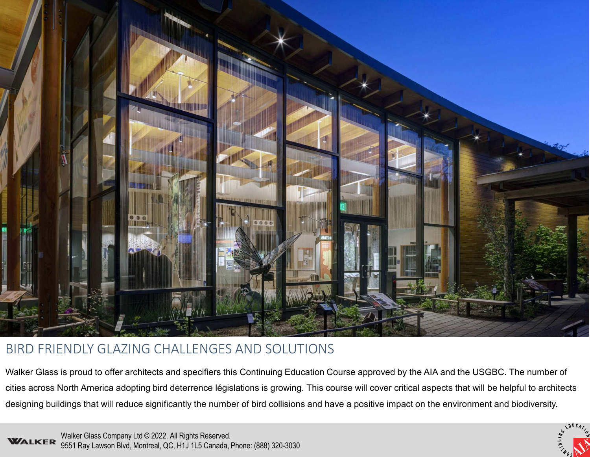

# BIRD FRIENDLY GLAZING CHALLENGES AND SOLUTIONS

Walker Glass is proud to offer architects and specifiers this Continuing Education Course approved by the AIA and the USGBC. The number of cities across North America adopting bird deterrence législations is growing. This course will cover critical aspects that will be helpful to architects designing buildings that will reduce significantly the number of bird collisions and have a positive impact on the environment and biodiversity.